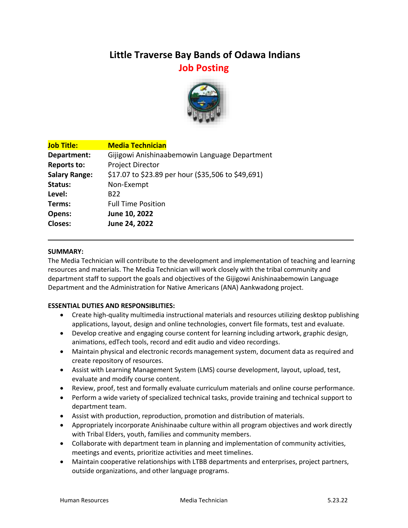# **Little Traverse Bay Bands of Odawa Indians Job Posting**



| <b>Media Technician</b>                            |
|----------------------------------------------------|
| Gijigowi Anishinaabemowin Language Department      |
| <b>Project Director</b>                            |
| \$17.07 to \$23.89 per hour (\$35,506 to \$49,691) |
| Non-Exempt                                         |
| B <sub>22</sub>                                    |
| <b>Full Time Position</b>                          |
| June 10, 2022                                      |
| June 24, 2022                                      |
|                                                    |

#### **SUMMARY:**

The Media Technician will contribute to the development and implementation of teaching and learning resources and materials. The Media Technician will work closely with the tribal community and department staff to support the goals and objectives of the Gijigowi Anishinaabemowin Language Department and the Administration for Native Americans (ANA) Aankwadong project.

#### **ESSENTIAL DUTIES AND RESPONSIBLITIES:**

- Create high-quality multimedia instructional materials and resources utilizing desktop publishing applications, layout, design and online technologies, convert file formats, test and evaluate.
- Develop creative and engaging course content for learning including artwork, graphic design, animations, edTech tools, record and edit audio and video recordings.
- Maintain physical and electronic records management system, document data as required and create repository of resources.
- Assist with Learning Management System (LMS) course development, layout, upload, test, evaluate and modify course content.
- Review, proof, test and formally evaluate curriculum materials and online course performance.
- Perform a wide variety of specialized technical tasks, provide training and technical support to department team.
- Assist with production, reproduction, promotion and distribution of materials.
- Appropriately incorporate Anishinaabe culture within all program objectives and work directly with Tribal Elders, youth, families and community members.
- Collaborate with department team in planning and implementation of community activities, meetings and events, prioritize activities and meet timelines.
- Maintain cooperative relationships with LTBB departments and enterprises, project partners, outside organizations, and other language programs.